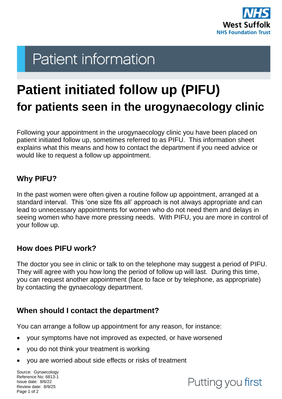

# **Patient information**

## **Patient initiated follow up (PIFU) for patients seen in the urogynaecology clinic**

Following your appointment in the urogynaecology clinic you have been placed on patient initiated follow up, sometimes referred to as PIFU. This information sheet explains what this means and how to contact the department if you need advice or would like to request a follow up appointment.

#### **Why PIFU?**

In the past women were often given a routine follow up appointment, arranged at a standard interval. This 'one size fits all' approach is not always appropriate and can lead to unnecessary appointments for women who do not need them and delays in seeing women who have more pressing needs. With PIFU, you are more in control of your follow up.

#### **How does PIFU work?**

The doctor you see in clinic or talk to on the telephone may suggest a period of PIFU. They will agree with you how long the period of follow up will last. During this time, you can request another appointment (face to face or by telephone, as appropriate) by contacting the gynaecology department.

#### **When should I contact the department?**

You can arrange a follow up appointment for any reason, for instance:

- your symptoms have not improved as expected, or have worsened
- you do not think your treatment is working
- you are worried about side effects or risks of treatment

Source: Gynaecology Reference No: 6813-1 Issue date: 8/6/22 Review date: 8/9/25 Page 1 of 2

### Putting you first